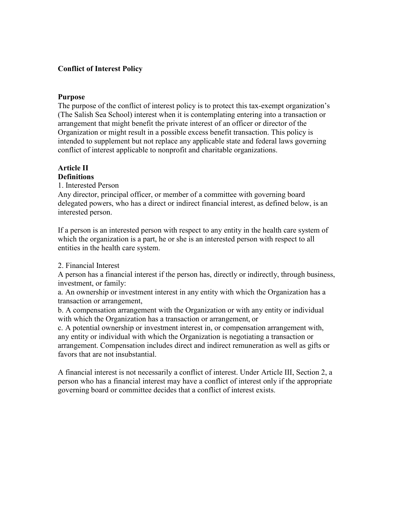## **Conflict of Interest Policy**

### **Purpose**

The purpose of the conflict of interest policy is to protect this tax-exempt organization's (The Salish Sea School) interest when it is contemplating entering into a transaction or arrangement that might benefit the private interest of an officer or director of the Organization or might result in a possible excess benefit transaction. This policy is intended to supplement but not replace any applicable state and federal laws governing conflict of interest applicable to nonprofit and charitable organizations.

#### **Article II Definitions**

1. Interested Person

Any director, principal officer, or member of a committee with governing board delegated powers, who has a direct or indirect financial interest, as defined below, is an interested person.

If a person is an interested person with respect to any entity in the health care system of which the organization is a part, he or she is an interested person with respect to all entities in the health care system.

## 2. Financial Interest

A person has a financial interest if the person has, directly or indirectly, through business, investment, or family:

a. An ownership or investment interest in any entity with which the Organization has a transaction or arrangement,

b. A compensation arrangement with the Organization or with any entity or individual with which the Organization has a transaction or arrangement, or

c. A potential ownership or investment interest in, or compensation arrangement with, any entity or individual with which the Organization is negotiating a transaction or arrangement. Compensation includes direct and indirect remuneration as well as gifts or favors that are not insubstantial.

A financial interest is not necessarily a conflict of interest. Under Article III, Section 2, a person who has a financial interest may have a conflict of interest only if the appropriate governing board or committee decides that a conflict of interest exists.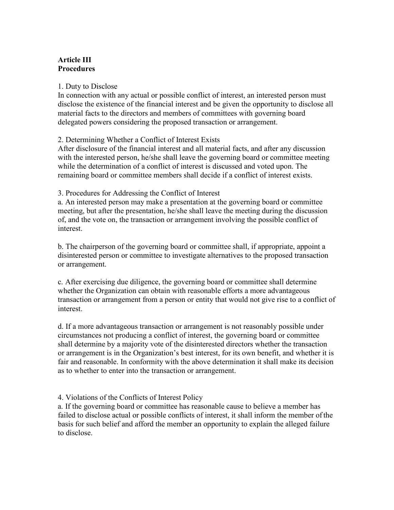## **Article III Procedures**

### 1. Duty to Disclose

In connection with any actual or possible conflict of interest, an interested person must disclose the existence of the financial interest and be given the opportunity to disclose all material facts to the directors and members of committees with governing board delegated powers considering the proposed transaction or arrangement.

## 2. Determining Whether a Conflict of Interest Exists

After disclosure of the financial interest and all material facts, and after any discussion with the interested person, he/she shall leave the governing board or committee meeting while the determination of a conflict of interest is discussed and voted upon. The remaining board or committee members shall decide if a conflict of interest exists.

### 3. Procedures for Addressing the Conflict of Interest

a. An interested person may make a presentation at the governing board or committee meeting, but after the presentation, he/she shall leave the meeting during the discussion of, and the vote on, the transaction or arrangement involving the possible conflict of interest.

b. The chairperson of the governing board or committee shall, if appropriate, appoint a disinterested person or committee to investigate alternatives to the proposed transaction or arrangement.

c. After exercising due diligence, the governing board or committee shall determine whether the Organization can obtain with reasonable efforts a more advantageous transaction or arrangement from a person or entity that would not give rise to a conflict of interest.

d. If a more advantageous transaction or arrangement is not reasonably possible under circumstances not producing a conflict of interest, the governing board or committee shall determine by a majority vote of the disinterested directors whether the transaction or arrangement is in the Organization's best interest, for its own benefit, and whether it is fair and reasonable. In conformity with the above determination it shall make its decision as to whether to enter into the transaction or arrangement.

## 4. Violations of the Conflicts of Interest Policy

a. If the governing board or committee has reasonable cause to believe a member has failed to disclose actual or possible conflicts of interest, it shall inform the member ofthe basis for such belief and afford the member an opportunity to explain the alleged failure to disclose.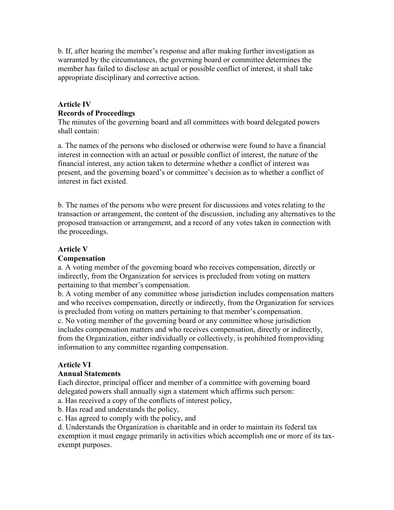b. If, after hearing the member's response and after making further investigation as warranted by the circumstances, the governing board or committee determines the member has failed to disclose an actual or possible conflict of interest, it shall take appropriate disciplinary and corrective action.

# **Article IV Records of Proceedings**

The minutes of the governing board and all committees with board delegated powers shall contain:

a. The names of the persons who disclosed or otherwise were found to have a financial interest in connection with an actual or possible conflict of interest, the nature of the financial interest, any action taken to determine whether a conflict of interest was present, and the governing board's or committee's decision as to whether a conflict of interest in fact existed.

b. The names of the persons who were present for discussions and votes relating to the transaction or arrangement, the content of the discussion, including any alternatives to the proposed transaction or arrangement, and a record of any votes taken in connection with the proceedings.

## **Article V**

### **Compensation**

a. A voting member of the governing board who receives compensation, directly or indirectly, from the Organization for services is precluded from voting on matters pertaining to that member's compensation.

b. A voting member of any committee whose jurisdiction includes compensation matters and who receives compensation, directly or indirectly, from the Organization for services is precluded from voting on matters pertaining to that member's compensation. c. No voting member of the governing board or any committee whose jurisdiction includes compensation matters and who receives compensation, directly or indirectly, from the Organization, either individually or collectively, is prohibited fromproviding information to any committee regarding compensation.

## **Article VI**

#### **Annual Statements**

Each director, principal officer and member of a committee with governing board delegated powers shall annually sign a statement which affirms such person:

a. Has received a copy of the conflicts of interest policy,

b. Has read and understands the policy,

c. Has agreed to comply with the policy, and

d. Understands the Organization is charitable and in order to maintain its federal tax exemption it must engage primarily in activities which accomplish one or more of its taxexempt purposes.